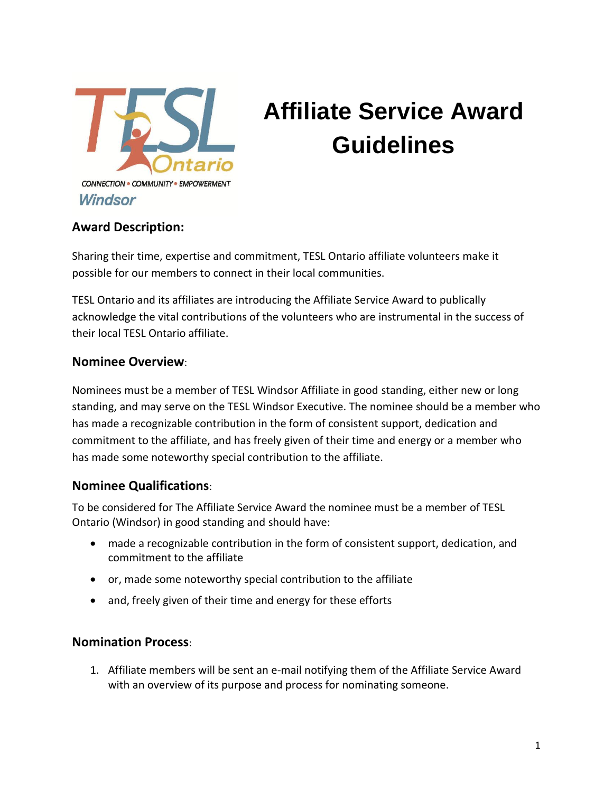

## **Affiliate Service Award Guidelines**

**Award Description:**

Sharing their time, expertise and commitment, TESL Ontario affiliate volunteers make it possible for our members to connect in their local communities.

TESL Ontario and its affiliates are introducing the Affiliate Service Award to publically acknowledge the vital contributions of the volunteers who are instrumental in the success of their local TESL Ontario affiliate.

### **Nominee Overview**:

Nominees must be a member of TESL Windsor Affiliate in good standing, either new or long standing, and may serve on the TESL Windsor Executive. The nominee should be a member who has made a recognizable contribution in the form of consistent support, dedication and commitment to the affiliate, and has freely given of their time and energy or a member who has made some noteworthy special contribution to the affiliate.

### **Nominee Qualifications**:

To be considered for The Affiliate Service Award the nominee must be a member of TESL Ontario (Windsor) in good standing and should have:

- made a recognizable contribution in the form of consistent support, dedication, and commitment to the affiliate
- or, made some noteworthy special contribution to the affiliate
- and, freely given of their time and energy for these efforts

### **Nomination Process**:

1. Affiliate members will be sent an e-mail notifying them of the Affiliate Service Award with an overview of its purpose and process for nominating someone.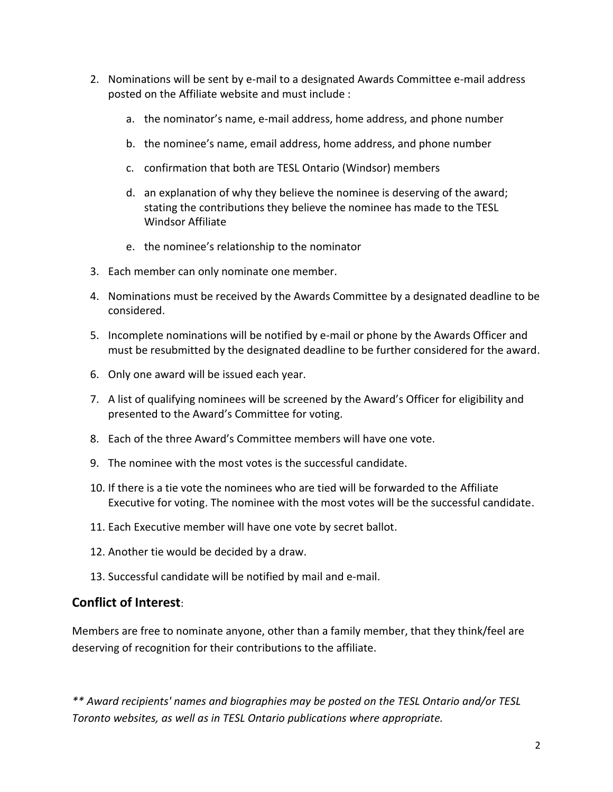- 2. Nominations will be sent by e-mail to a designated Awards Committee e-mail address posted on the Affiliate website and must include :
	- a. the nominator's name, e-mail address, home address, and phone number
	- b. the nominee's name, email address, home address, and phone number
	- c. confirmation that both are TESL Ontario (Windsor) members
	- d. an explanation of why they believe the nominee is deserving of the award; stating the contributions they believe the nominee has made to the TESL Windsor Affiliate
	- e. the nominee's relationship to the nominator
- 3. Each member can only nominate one member.
- 4. Nominations must be received by the Awards Committee by a designated deadline to be considered.
- 5. Incomplete nominations will be notified by e-mail or phone by the Awards Officer and must be resubmitted by the designated deadline to be further considered for the award.
- 6. Only one award will be issued each year.
- 7. A list of qualifying nominees will be screened by the Award's Officer for eligibility and presented to the Award's Committee for voting.
- 8. Each of the three Award's Committee members will have one vote.
- 9. The nominee with the most votes is the successful candidate.
- 10. If there is a tie vote the nominees who are tied will be forwarded to the Affiliate Executive for voting. The nominee with the most votes will be the successful candidate.
- 11. Each Executive member will have one vote by secret ballot.
- 12. Another tie would be decided by a draw.
- 13. Successful candidate will be notified by mail and e-mail.

### **Conflict of Interest**:

Members are free to nominate anyone, other than a family member, that they think/feel are deserving of recognition for their contributions to the affiliate.

*\*\* Award recipients' names and biographies may be posted on the TESL Ontario and/or TESL Toronto websites, as well as in TESL Ontario publications where appropriate.*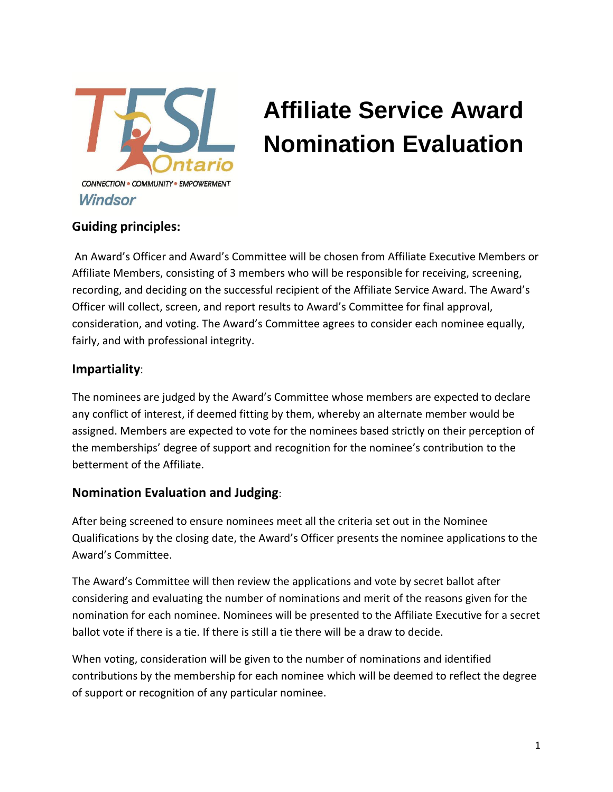

# **Affiliate Service Award Nomination Evaluation**

### **Guiding principles:**

An Award's Officer and Award's Committee will be chosen from Affiliate Executive Members or Affiliate Members, consisting of 3 members who will be responsible for receiving, screening, recording, and deciding on the successful recipient of the Affiliate Service Award. The Award's Officer will collect, screen, and report results to Award's Committee for final approval, consideration, and voting. The Award's Committee agrees to consider each nominee equally, fairly, and with professional integrity.

### **Impartiality**:

The nominees are judged by the Award's Committee whose members are expected to declare any conflict of interest, if deemed fitting by them, whereby an alternate member would be assigned. Members are expected to vote for the nominees based strictly on their perception of the memberships' degree of support and recognition for the nominee's contribution to the betterment of the Affiliate.

### **Nomination Evaluation and Judging**:

After being screened to ensure nominees meet all the criteria set out in the Nominee Qualifications by the closing date, the Award's Officer presents the nominee applications to the Award's Committee.

The Award's Committee will then review the applications and vote by secret ballot after considering and evaluating the number of nominations and merit of the reasons given for the nomination for each nominee. Nominees will be presented to the Affiliate Executive for a secret ballot vote if there is a tie. If there is still a tie there will be a draw to decide.

When voting, consideration will be given to the number of nominations and identified contributions by the membership for each nominee which will be deemed to reflect the degree of support or recognition of any particular nominee.